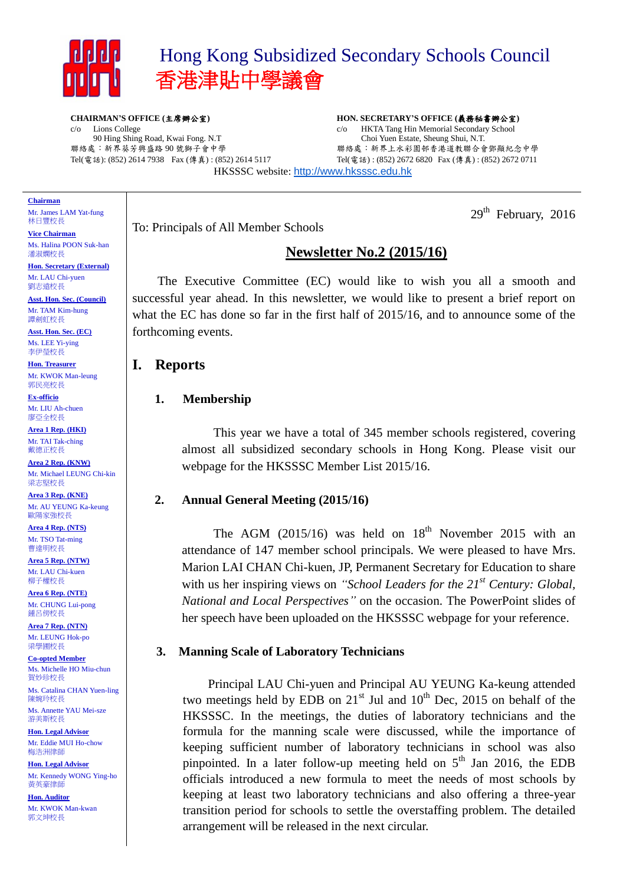

c/o Lions College

# Hong Kong Subsidized Secondary Schools Council 香港津貼中學議會

**CHAIRMAN'S OFFICE (**主席辦公室**)**

90 Hing Shing Road, Kwai Fong. N.T 聯絡處:新界葵芳興盛路 90 號獅子會中學

Tel(電話): (852) 2614 7938 Fax (傳真) : (852) 2614 5117

**HON. SECRETARY'S OFFICE (**義務秘書辦公室**)** c/o HKTA Tang Hin Memorial Secondary School Choi Yuen Estate, Sheung Shui, N.T. 聯絡處:新界上水彩園邨香港道教聯合會鄧顯紀念中學 Tel(電話) : (852) 2672 6820 Fax (傳真) : (852) 2672 0711

HKSSSC website: [http://www.hksssc.edu.hk](http://www.hksssc.edu.hk/)

#### **Chairman**

Mr. James LAM Yat-fung 林日豐校長

**Vice Chairman** Ms. Halina POON Suk-han 潘淑嫻校長

**Hon. Secretary (External)** Mr. LAU Chi-yuen 劉志遠校長

**Asst. Hon. Sec. (Council)** Mr. TAM Kim-hung 譚劍虹校長

**Asst. Hon. Sec. (EC)** Ms. LEE Yi-ying 李伊瑩校長

**Hon. Treasurer** Mr. KWOK Man-leung 郭民亮校長

**Ex-officio** Mr. LIU Ah-chuen 廖亞全校長

**Area 1 Rep. (HKI)** Mr. TAI Tak-ching 戴德正校長

**Area 2 Rep. (KNW)** Mr. Michael LEUNG Chi-kin 梁志堅校長

**Area 3 Rep. (KNE)** Mr. AU YEUNG Ka-keung 歐陽家強校長

**Area 4 Rep. (NTS)** Mr. TSO Tat-ming 曹達明校長

**Area 5 Rep. (NTW)** Mr. LAU Chi-kuen 柳子權校長

**Area 6 Rep. (NTE)** Mr. CHUNG Lui-pong 鍾呂傍校長

**Area 7 Rep. (NTN)** Mr. LEUNG Hok-po 梁學圃校長

**Co-opted Member** Ms. Michelle HO Miu-chun 賀妙珍校長

Ms. Catalina CHAN Yuen-ling 陳婉玲校長

Ms. Annette YAU Mei-sze 游美斯校長

**Hon. Legal Advisor** Mr. Eddie MUI Ho-chow 梅浩洲律師

**Hon. Legal Advisor** Mr. Kennedy WONG Ying-ho 黃英豪律師

**Hon. Auditor** Mr. KWOK Man-kwan 郭文坤校長

To: Principals of All Member Schools

## **Newsletter No.2 (2015/16)**

The Executive Committee (EC) would like to wish you all a smooth and successful year ahead. In this newsletter, we would like to present a brief report on what the EC has done so far in the first half of 2015/16, and to announce some of the forthcoming events.

## **I. Reports**

#### **1. Membership**

This year we have a total of 345 member schools registered, covering almost all subsidized secondary schools in Hong Kong. Please visit our webpage for the HKSSSC Member List 2015/16.

#### **2. Annual General Meeting (2015/16)**

The AGM  $(2015/16)$  was held on  $18<sup>th</sup>$  November 2015 with an attendance of 147 member school principals. We were pleased to have Mrs. Marion LAI CHAN Chi-kuen, JP, Permanent Secretary for Education to share with us her inspiring views on *"School Leaders for the 21st Century: Global, National and Local Perspectives"* on the occasion. The PowerPoint slides of her speech have been uploaded on the HKSSSC webpage for your reference.

#### **3. Manning Scale of Laboratory Technicians**

Principal LAU Chi-yuen and Principal AU YEUNG Ka-keung attended two meetings held by EDB on  $21<sup>st</sup>$  Jul and  $10<sup>th</sup>$  Dec, 2015 on behalf of the HKSSSC. In the meetings, the duties of laboratory technicians and the formula for the manning scale were discussed, while the importance of keeping sufficient number of laboratory technicians in school was also pinpointed. In a later follow-up meeting held on  $5<sup>th</sup>$  Jan 2016, the EDB officials introduced a new formula to meet the needs of most schools by keeping at least two laboratory technicians and also offering a three-year transition period for schools to settle the overstaffing problem. The detailed arrangement will be released in the next circular.

## $29<sup>th</sup>$  February, 2016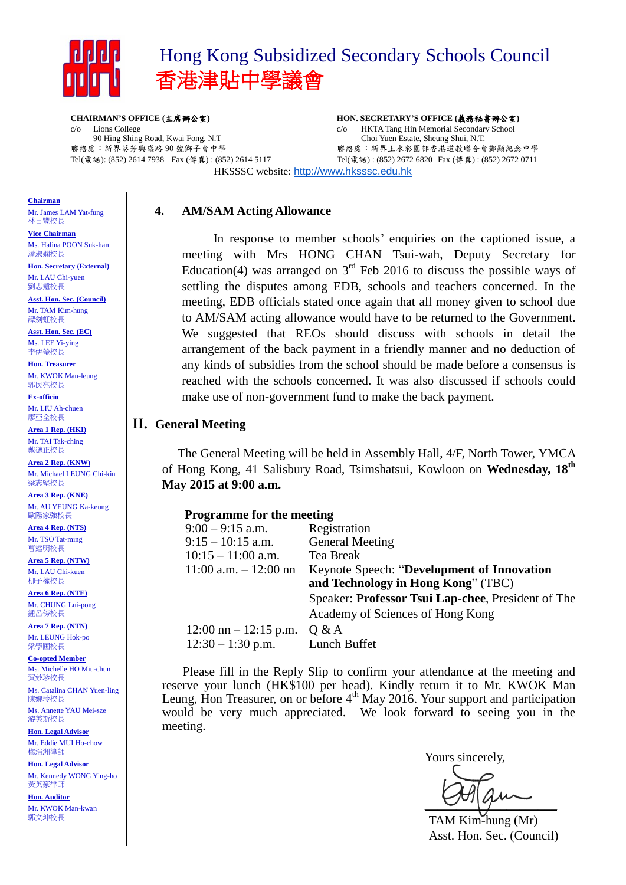

c/o Lions College

# Hong Kong Subsidized Secondary Schools Council 香港津貼中學議會

**CHAIRMAN'S OFFICE (**主席辦公室**)**

90 Hing Shing Road, Kwai Fong. N.T 聯絡處:新界葵芳興盛路 90 號獅子會中學

Tel(電話): (852) 2614 7938 Fax (傳真) : (852) 2614 5117

**HON. SECRETARY'S OFFICE (**義務秘書辦公室**)** c/o HKTA Tang Hin Memorial Secondary School Choi Yuen Estate, Sheung Shui, N.T. 聯絡處:新界上水彩園邨香港道教聯合會鄧顯紀念中學 Tel(電話) : (852) 2672 6820 Fax (傳真) : (852) 2672 0711

HKSSSC website: [http://www.hksssc.edu.hk](http://www.hksssc.edu.hk/)

### **4. AM/SAM Acting Allowance**

In response to member schools' enquiries on the captioned issue, a meeting with Mrs HONG CHAN Tsui-wah, Deputy Secretary for Education(4) was arranged on  $3<sup>rd</sup>$  Feb 2016 to discuss the possible ways of settling the disputes among EDB, schools and teachers concerned. In the meeting, EDB officials stated once again that all money given to school due to AM/SAM acting allowance would have to be returned to the Government. We suggested that REOs should discuss with schools in detail the arrangement of the back payment in a friendly manner and no deduction of any kinds of subsidies from the school should be made before a consensus is reached with the schools concerned. It was also discussed if schools could make use of non-government fund to make the back payment.

### **II. General Meeting**

The General Meeting will be held in Assembly Hall, 4/F, North Tower, YMCA of Hong Kong, 41 Salisbury Road, Tsimshatsui, Kowloon on **Wednesday, 18 th May 2015 at 9:00 a.m.**

| <b>Programme for the meeting</b>                   |
|----------------------------------------------------|
| Registration                                       |
| <b>General Meeting</b>                             |
| Tea Break                                          |
| Keynote Speech: "Development of Innovation"        |
| and Technology in Hong Kong" (TBC)                 |
| Speaker: Professor Tsui Lap-chee, President of The |
| Academy of Sciences of Hong Kong                   |
| $12:00 \text{ nm} - 12:15 \text{ p.m.}$<br>Q & A   |
| Lunch Buffet                                       |
|                                                    |

Please fill in the Reply Slip to confirm your attendance at the meeting and reserve your lunch (HK\$100 per head). Kindly return it to Mr. KWOK Man Leung, Hon Treasurer, on or before  $4<sup>th</sup>$  May 2016. Your support and participation would be very much appreciated. We look forward to seeing you in the meeting.

Yours sincerely,

 $\frac{1}{2}$ 

TAM Kim-hung (Mr) Asst. Hon. Sec. (Council)

## **Chairman**

Mr. James LAM Yat-fung 林日豐校長

**Vice Chairman** Ms. Halina POON Suk-han 潘淑嫻校長

**Hon. Secretary (External)** Mr. LAU Chi-yuen 劉志遠校長

**Asst. Hon. Sec. (Council)** Mr. TAM Kim-hung 譚劍虹校長

**Asst. Hon. Sec. (EC)** Ms. LEE Yi-ying 李伊瑩校長

**Hon. Treasurer** Mr. KWOK Man-leung 郭民亮校長

**Ex-officio** Mr. LIU Ah-chuen 廖亞全校長

**Area 1 Rep. (HKI)** Mr. TAI Tak-ching 戴德正校長

**Area 2 Rep. (KNW)** Mr. Michael LEUNG Chi-kin 梁志堅校長

**Area 3 Rep. (KNE)** Mr. AU YEUNG Ka-keung 歐陽家強校長

**Area 4 Rep. (NTS)** Mr. TSO Tat-ming 曹達明校長

**Area 5 Rep. (NTW)** Mr. LAU Chi-kuen 柳子權校長

**Area 6 Rep. (NTE)** Mr. CHUNG Lui-pong 鍾呂傍校長

**Area 7 Rep. (NTN)** Mr. LEUNG Hok-po 梁學圃校長

**Co-opted Member** Ms. Michelle HO Miu-chun 賀妙珍校長

Ms. Catalina CHAN Yuen-ling 陳婉玲校長

Ms. Annette YAU Mei-sze 游美斯校長

**Hon. Legal Advisor** Mr. Eddie MUI Ho-chow 梅浩洲律師

**Hon. Legal Advisor** Mr. Kennedy WONG Ying-ho 黃英豪律師

**Hon. Auditor** Mr. KWOK Man-kwan 郭文坤校長